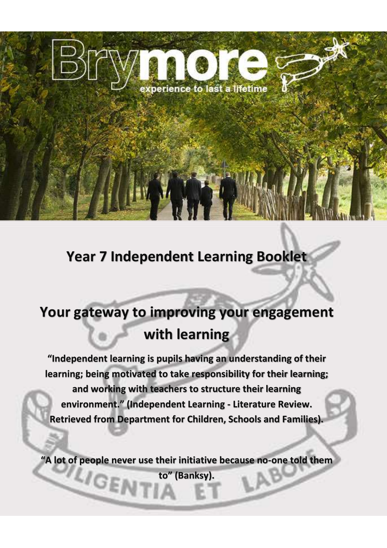

# **Year 7 Independent Learning Booklet**

# **Your gateway to improving your engagement with learning**

**"Independent learning is pupils having an understanding of their learning; being motivated to take responsibility for their learning; and working with teachers to structure their learning environment." (Independent Learning - Literature Review. Retrieved from Department for Children, Schools and Families).**

**"A lot of people never use their initiative because no-one told them** 

**to" (Banksy).**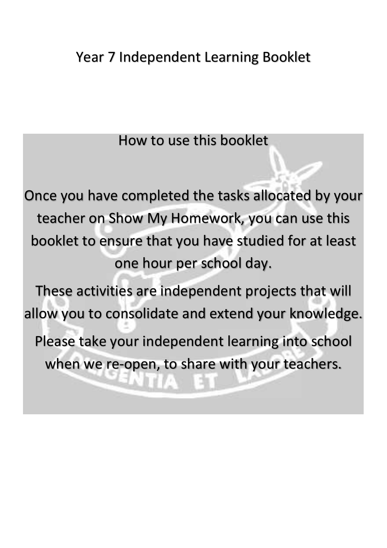How to use this booklet

Once you have completed the tasks allocated by your teacher on Show My Homework, you can use this booklet to ensure that you have studied for at least one hour per school day.

These activities are independent projects that will allow you to consolidate and extend your knowledge. Please take your independent learning into school when we re-open, to share with your teachers.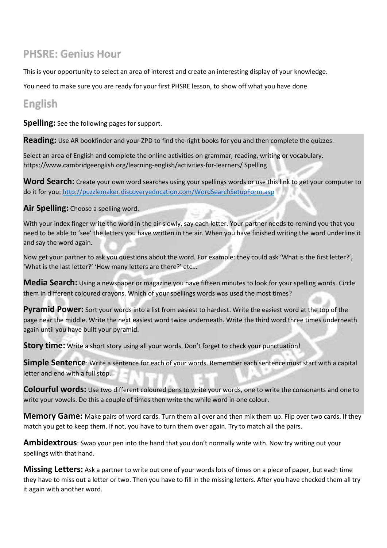# **PHSRE: Genius Hour**

This is your opportunity to select an area of interest and create an interesting display of your knowledge.

You need to make sure you are ready for your first PHSRE lesson, to show off what you have done

# English

**Spelling:** See the following pages for support.

**Reading:** Use AR bookfinder and your ZPD to find the right books for you and then complete the quizzes.

Select an area of English and complete the online activities on grammar, reading, writing or vocabulary. https://www.cambridgeenglish.org/learning-english/activities-for-learners/ Spelling

**Word Search:** Create your own word searches using your spellings words or use this link to get your computer to do it for you:<http://puzzlemaker.discoveryeducation.com/WordSearchSetupForm.asp>

**Air Spelling:** Choose a spelling word.

With your index finger write the word in the air slowly, say each letter. Your partner needs to remind you that you need to be able to 'see' the letters you have written in the air. When you have finished writing the word underline it and say the word again.

Now get your partner to ask you questions about the word. For example: they could ask 'What is the first letter?', 'What is the last letter?' 'How many letters are there?' etc...

**Media Search:** Using a newspaper or magazine you have fifteen minutes to look for your spelling words. Circle them in different coloured crayons. Which of your spellings words was used the most times?

**Pyramid Power:** Sort your words into a list from easiest to hardest. Write the easiest word at the top of the page near the middle. Write the next easiest word twice underneath. Write the third word three times underneath again until you have built your pyramid.

**Story time:** Write a short story using all your words. Don't forget to check your punctuation!

**Simple Sentence**: Write a sentence for each of your words. Remember each sentence must start with a capital letter and end with a full stop.

**Colourful words:** Use two different coloured pens to write your words, one to write the consonants and one to write your vowels. Do this a couple of times then write the while word in one colour.

**Memory Game:** Make pairs of word cards. Turn them all over and then mix them up. Flip over two cards. If they match you get to keep them. If not, you have to turn them over again. Try to match all the pairs.

**Ambidextrous**: Swap your pen into the hand that you don't normally write with. Now try writing out your spellings with that hand.

**Missing Letters:** Ask a partner to write out one of your words lots of times on a piece of paper, but each time they have to miss out a letter or two. Then you have to fill in the missing letters. After you have checked them all try it again with another word.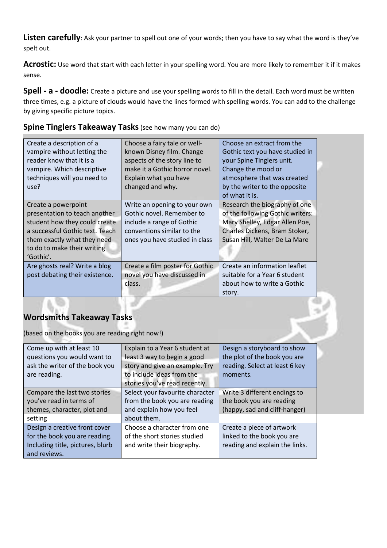Listen carefully: Ask your partner to spell out one of your words; then you have to say what the word is they've spelt out.

**Acrostic:** Use word that start with each letter in your spelling word. You are more likely to remember it if it makes sense.

**Spell - a - doodle:** Create a picture and use your spelling words to fill in the detail. Each word must be written three times, e.g. a picture of clouds would have the lines formed with spelling words. You can add to the challenge by giving specific picture topics.

#### **Spine Tinglers Takeaway Tasks**(see how many you can do)

| Create a description of a<br>vampire without letting the<br>reader know that it is a<br>vampire. Which descriptive<br>techniques will you need to<br>use?                                           | Choose a fairy tale or well-<br>known Disney film. Change<br>aspects of the story line to<br>make it a Gothic horror novel.<br>Explain what you have<br>changed and why. | Choose an extract from the<br>Gothic text you have studied in<br>your Spine Tinglers unit.<br>Change the mood or<br>atmosphere that was created<br>by the writer to the opposite<br>of what it is. |  |
|-----------------------------------------------------------------------------------------------------------------------------------------------------------------------------------------------------|--------------------------------------------------------------------------------------------------------------------------------------------------------------------------|----------------------------------------------------------------------------------------------------------------------------------------------------------------------------------------------------|--|
| Create a powerpoint<br>presentation to teach another<br>student how they could create<br>a successful Gothic text. Teach<br>them exactly what they need<br>to do to make their writing<br>'Gothic'. | Write an opening to your own<br>Gothic novel. Remember to<br>include a range of Gothic<br>conventions similar to the<br>ones you have studied in class                   | Research the biography of one<br>of the following Gothic writers:<br>Mary Shelley, Edgar Allen Poe,<br>Charles Dickens, Bram Stoker,<br>Susan Hill, Walter De La Mare                              |  |
| Are ghosts real? Write a blog<br>post debating their existence.                                                                                                                                     | Create a film poster for Gothic<br>novel you have discussed in<br>class.                                                                                                 | Create an information leaflet<br>suitable for a Year 6 student<br>about how to write a Gothic<br>story.                                                                                            |  |

# **Wordsmiths Takeaway Tasks**

(based on the books you are reading right now!)

| Come up with at least 10         | Explain to a Year 6 student at  | Design a storyboard to show    |
|----------------------------------|---------------------------------|--------------------------------|
| questions you would want to      | least 3 way to begin a good     | the plot of the book you are   |
| ask the writer of the book you   | story and give an example. Try  | reading. Select at least 6 key |
| are reading.                     | to include ideas from the       | moments.                       |
|                                  | stories you've read recently.   |                                |
| Compare the last two stories     | Select your favourite character | Write 3 different endings to   |
| you've read in terms of          | from the book you are reading   | the book you are reading       |
| themes, character, plot and      | and explain how you feel        | (happy, sad and cliff-hanger)  |
| setting                          | about them.                     |                                |
| Design a creative front cover    | Choose a character from one     | Create a piece of artwork      |
| for the book you are reading.    | of the short stories studied    | linked to the book you are     |
| Including title, pictures, blurb | and write their biography.      | reading and explain the links. |
| and reviews.                     |                                 |                                |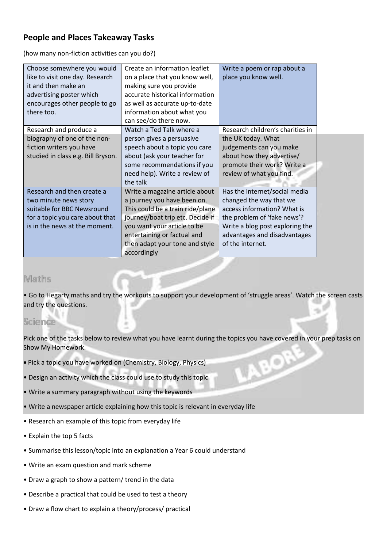## **People and Places Takeaway Tasks**

(how many non-fiction activities can you do?)

| Choose somewhere you would<br>like to visit one day. Research<br>it and then make an<br>advertising poster which<br>encourages other people to go<br>there too. | Create an information leaflet<br>on a place that you know well,<br>making sure you provide<br>accurate historical information<br>as well as accurate up-to-date<br>information about what you<br>can see/do there now.                               | Write a poem or rap about a<br>place you know well.                                                                                                                                                           |  |
|-----------------------------------------------------------------------------------------------------------------------------------------------------------------|------------------------------------------------------------------------------------------------------------------------------------------------------------------------------------------------------------------------------------------------------|---------------------------------------------------------------------------------------------------------------------------------------------------------------------------------------------------------------|--|
| Research and produce a<br>biography of one of the non-<br>fiction writers you have<br>studied in class e.g. Bill Bryson.                                        | Watch a Ted Talk where a<br>person gives a persuasive<br>speech about a topic you care<br>about (ask your teacher for<br>some recommendations if you<br>need help). Write a review of<br>the talk                                                    | Research children's charities in<br>the UK today. What<br>judgements can you make<br>about how they advertise/<br>promote their work? Write a<br>review of what you find.                                     |  |
| Research and then create a<br>two minute news story<br>suitable for BBC Newsround<br>for a topic you care about that<br>is in the news at the moment.           | Write a magazine article about<br>a journey you have been on.<br>This could be a train ride/plane<br>journey/boat trip etc. Decide if<br>you want your article to be<br>entertaining or factual and<br>then adapt your tone and style<br>accordingly | Has the internet/social media<br>changed the way that we<br>access information? What is<br>the problem of 'fake news'?<br>Write a blog post exploring the<br>advantages and disadvantages<br>of the internet. |  |

# Maths

• Go to Hegarty maths and try the workouts to support your development of 'struggle areas'. Watch the screen casts and try the questions.

# Science

Pick one of the tasks below to review what you have learnt during the topics you have covered in your prep tasks on Show My Homework.

- Pick a topic you have worked on (Chemistry, Biology, Physics)
- Design an activity which the class could use to study this topic
- Write a summary paragraph without using the keywords
- Write a newspaper article explaining how this topic is relevant in everyday life
- Research an example of this topic from everyday life
- Explain the top 5 facts
- Summarise this lesson/topic into an explanation a Year 6 could understand
- Write an exam question and mark scheme
- Draw a graph to show a pattern/ trend in the data
- Describe a practical that could be used to test a theory
- Draw a flow chart to explain a theory/process/ practical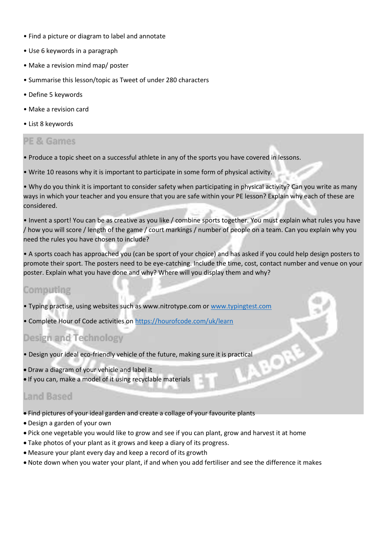- Find a picture or diagram to label and annotate
- Use 6 keywords in a paragraph
- Make a revision mind map/ poster
- Summarise this lesson/topic as Tweet of under 280 characters
- Define 5 keywords
- Make a revision card
- List 8 keywords

## PE & Games

- Produce a topic sheet on a successful athlete in any of the sports you have covered in lessons.
- Write 10 reasons why it is important to participate in some form of physical activity.

• Why do you think it is important to consider safety when participating in physical activity? Can you write as many ways in which your teacher and you ensure that you are safe within your PE lesson? Explain why each of these are considered.

• Invent a sport! You can be as creative as you like / combine sports together. You must explain what rules you have / how you will score / length of the game / court markings / number of people on a team. Can you explain why you need the rules you have chosen to include?

• A sports coach has approached you (can be sport of your choice) and has asked if you could help design posters to promote their sport. The posters need to be eye-catching. Include the time, cost, contact number and venue on your poster. Explain what you have done and why? Where will you display them and why?

#### Computing

- Typing practise, using websites such as www.nitrotype.com or [www.typingtest.com](http://www.typingtest.com/)
- Complete Hour of Code activities on <https://hourofcode.com/uk/learn>

# Design and Technology

- Design your ideal eco-friendly vehicle of the future, making sure it is practical
- Draw a diagram of your vehicle and label it
- If you can, make a model of it using recyclable materials

# Land Based

- Find pictures of your ideal garden and create a collage of your favourite plants
- Design a garden of your own
- Pick one vegetable you would like to grow and see if you can plant, grow and harvest it at home
- Take photos of your plant as it grows and keep a diary of its progress.
- Measure your plant every day and keep a record of its growth
- Note down when you water your plant, if and when you add fertiliser and see the difference it makes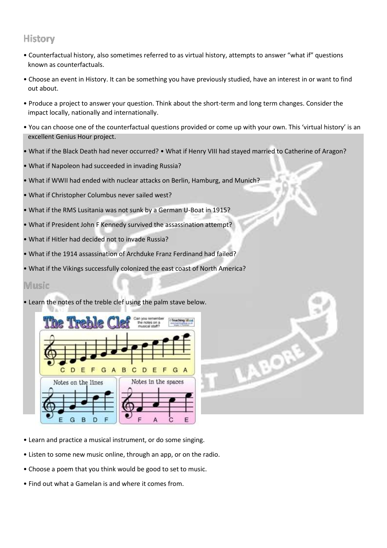# History

- Counterfactual history, also sometimes referred to as virtual history, attempts to answer "what if" questions known as counterfactuals.
- Choose an event in History. It can be something you have previously studied, have an interest in or want to find out about.
- Produce a project to answer your question. Think about the short-term and long term changes. Consider the impact locally, nationally and internationally.
- You can choose one of the counterfactual questions provided or come up with your own. This 'virtual history' is an excellent Genius Hour project.

 $\odot$ 

- What if the Black Death had never occurred? What if Henry VIII had stayed married to Catherine of Aragon?
- What if Napoleon had succeeded in invading Russia?
- What if WWII had ended with nuclear attacks on Berlin, Hamburg, and Munich?
- What if Christopher Columbus never sailed west?
- What if the RMS Lusitania was not sunk by a German U-Boat in 1915?
- What if President John F Kennedy survived the assassination attempt?
- What if Hitler had decided not to invade Russia?
- What if the 1914 assassination of Archduke Franz Ferdinand had failed?
- What if the Vikings successfully colonized the east coast of North America?

#### Music

• Learn the notes of the treble clef using the palm stave below.



- Learn and practice a musical instrument, or do some singing.
- Listen to some new music online, through an app, or on the radio.
- Choose a poem that you think would be good to set to music.
- Find out what a Gamelan is and where it comes from.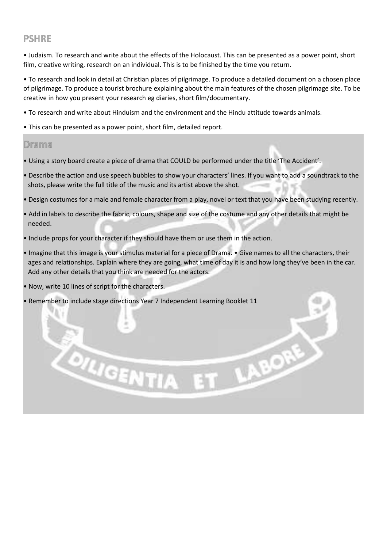# **PSHRE**

• Judaism. To research and write about the effects of the Holocaust. This can be presented as a power point, short film, creative writing, research on an individual. This is to be finished by the time you return.

• To research and look in detail at Christian places of pilgrimage. To produce a detailed document on a chosen place of pilgrimage. To produce a tourist brochure explaining about the main features of the chosen pilgrimage site. To be creative in how you present your research eg diaries, short film/documentary.

- To research and write about Hinduism and the environment and the Hindu attitude towards animals.
- This can be presented as a power point, short film, detailed report.

#### Drama

- Using a story board create a piece of drama that COULD be performed under the title 'The Accident'.
- Describe the action and use speech bubbles to show your characters' lines. If you want to add a soundtrack to the shots, please write the full title of the music and its artist above the shot.
- Design costumes for a male and female character from a play, novel or text that you have been studying recently.
- Add in labels to describe the fabric, colours, shape and size of the costume and any other details that might be needed.
- Include props for your character if they should have them or use them in the action.
- Imagine that this image is your stimulus material for a piece of Drama. Give names to all the characters, their ages and relationships. Explain where they are going, what time of day it is and how long they've been in the car. Add any other details that you think are needed for the actors.

T LABORE

• Now, write 10 lines of script for the characters.

**OLIGENTI** 

• Remember to include stage directions Year 7 Independent Learning Booklet 11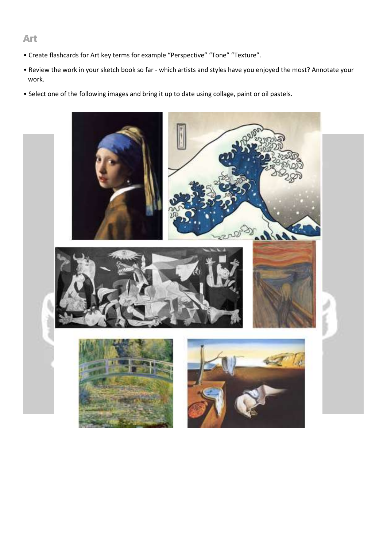#### Art

- Create flashcards for Art key terms for example "Perspective" "Tone" "Texture".
- Review the work in your sketch book so far which artists and styles have you enjoyed the most? Annotate your work.
- Select one of the following images and bring it up to date using collage, paint or oil pastels.

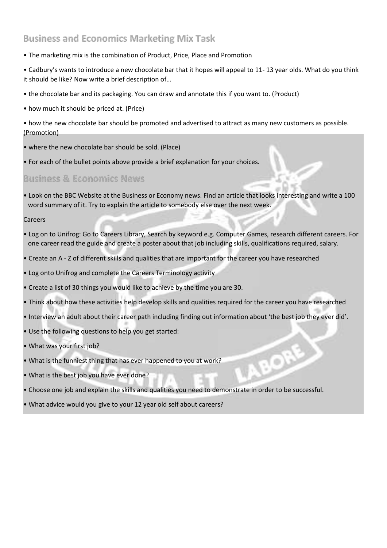# **Business and Economics Marketing Mix Task**

- The marketing mix is the combination of Product, Price, Place and Promotion
- Cadbury's wants to introduce a new chocolate bar that it hopes will appeal to 11- 13 year olds. What do you think it should be like? Now write a brief description of…
- the chocolate bar and its packaging. You can draw and annotate this if you want to. (Product)
- how much it should be priced at. (Price)

• how the new chocolate bar should be promoted and advertised to attract as many new customers as possible. (Promotion)

- where the new chocolate bar should be sold. (Place)
- For each of the bullet points above provide a brief explanation for your choices.

## **Business & Economics News**

• Look on the BBC Website at the Business or Economy news. Find an article that looks interesting and write a 100 word summary of it. Try to explain the article to somebody else over the next week.

#### Careers

- Log on to Unifrog: Go to Careers Library, Search by keyword e.g. Computer Games, research different careers. For one career read the guide and create a poster about that job including skills, qualifications required, salary.
- Create an A Z of different skills and qualities that are important for the career you have researched
- Log onto Unifrog and complete the Careers Terminology activity
- Create a list of 30 things you would like to achieve by the time you are 30.
- Think about how these activities help develop skills and qualities required for the career you have researched
- Interview an adult about their career path including finding out information about 'the best job they ever did'.
- Use the following questions to help you get started:
- What was your first job?
- What is the funniest thing that has ever happened to you at work?
- What is the best job you have ever done?
- Choose one job and explain the skills and qualities you need to demonstrate in order to be successful.
- What advice would you give to your 12 year old self about careers?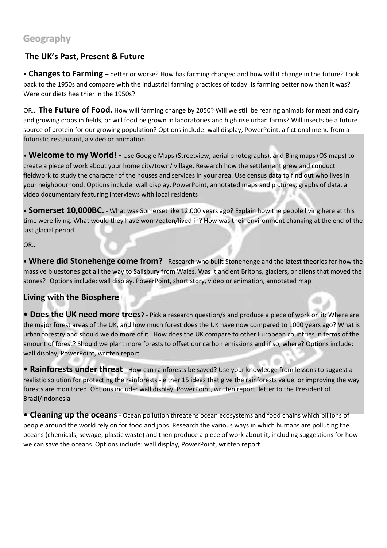# Geography

# **The UK's Past, Present & Future**

• **Changes to Farming** – better or worse? How has farming changed and how will it change in the future? Look back to the 1950s and compare with the industrial farming practices of today. Is farming better now than it was? Were our diets healthier in the 1950s?

OR… **The Future of Food.** How will farming change by 2050? Will we still be rearing animals for meat and dairy and growing crops in fields, or will food be grown in laboratories and high rise urban farms? Will insects be a future source of protein for our growing population? Options include: wall display, PowerPoint, a fictional menu from a futuristic restaurant, a video or animation

• **Welcome to my World! -** Use Google Maps (Streetview, aerial photographs), and Bing maps (OS maps) to create a piece of work about your home city/town/ village. Research how the settlement grew and conduct fieldwork to study the character of the houses and services in your area. Use census data to find out who lives in your neighbourhood. Options include: wall display, PowerPoint, annotated maps and pictures, graphs of data, a video documentary featuring interviews with local residents

• **Somerset 10,000BC.** - What was Somerset like 12,000 years ago? Explain how the people living here at this time were living. What would they have worn/eaten/lived in? How was their environment changing at the end of the last glacial period.

OR…

• **Where did Stonehenge come from?** - Research who built Stonehenge and the latest theories for how the massive bluestones got all the way to Salisbury from Wales. Was it ancient Britons, glaciers, or aliens that moved the stones?! Options include: wall display, PowerPoint, short story, video or animation, annotated map

# **Living with the Biosphere**

**• Does the UK need more trees**? - Pick a research question/s and produce a piece of work on it: Where are the major forest areas of the UK, and how much forest does the UK have now compared to 1000 years ago? What is urban forestry and should we do more of it? How does the UK compare to other European countries in terms of the amount of forest? Should we plant more forests to offset our carbon emissions and if so, where? Options include: wall display, PowerPoint, written report

**• Rainforests under threat** - How can rainforests be saved? Use your knowledge from lessons to suggest a realistic solution for protecting the rainforests - either 15 ideas that give the rainforests value, or improving the way forests are monitored. Options include: wall display, PowerPoint, written report, letter to the President of Brazil/Indonesia

**• Cleaning up the oceans**- Ocean pollution threatens ocean ecosystems and food chains which billions of people around the world rely on for food and jobs. Research the various ways in which humans are polluting the oceans (chemicals, sewage, plastic waste) and then produce a piece of work about it, including suggestions for how we can save the oceans. Options include: wall display, PowerPoint, written report